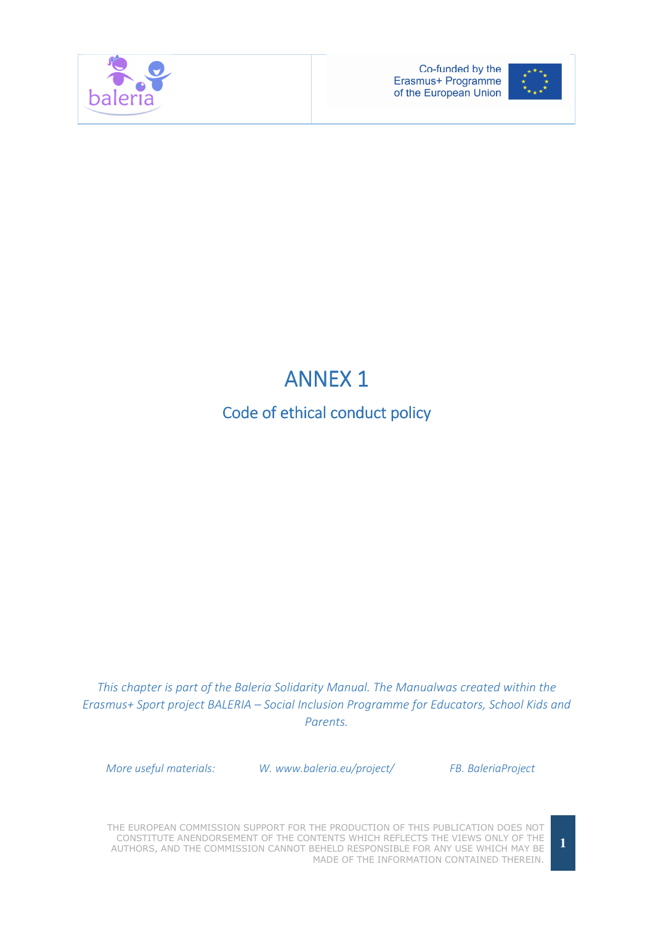



# **ANNEX 1**

# Code of ethical conduct policy

This chapter is part of the Baleria Solidarity Manual. The Manualwas created within the Erasmus+ Sport project BALERIA – Social Inclusion Programme for Educators, School Kids and Parents.

More useful materials: W. www.baleria.eu/project/ FB. BaleriaProject

THE EUROPEAN COMMISSION SUPPORT FOR THE PRODUCTION OF THIS PUBLICATION DOES NOT CONSTITUTE ANENDORSEMENT OF THE CONTENTS WHICH REFLECTS THE VIEWS ONLY OF THE AUTHORS, AND THE COMMISSION CANNOT BEHELD RESPONSIBLE FOR ANY USE WHICH MAY BE MADE OF THE INFORMATION CONTAINED THEREIN.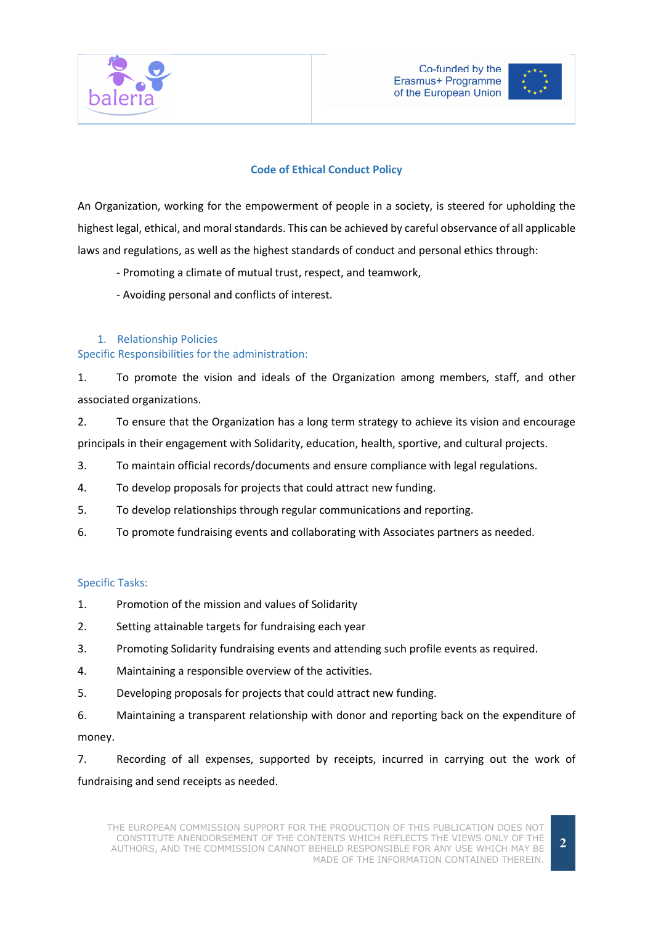



# Code of Ethical Conduct Policy

An Organization, working for the empowerment of people in a society, is steered for upholding the highest legal, ethical, and moral standards. This can be achieved by careful observance of all applicable laws and regulations, as well as the highest standards of conduct and personal ethics through:

- Promoting a climate of mutual trust, respect, and teamwork,
- Avoiding personal and conflicts of interest.

#### 1. Relationship Policies

#### Specific Responsibilities for the administration:

1. To promote the vision and ideals of the Organization among members, staff, and other associated organizations.

2. To ensure that the Organization has a long term strategy to achieve its vision and encourage principals in their engagement with Solidarity, education, health, sportive, and cultural projects.

- 3. To maintain official records/documents and ensure compliance with legal regulations.
- 4. To develop proposals for projects that could attract new funding.
- 5. To develop relationships through regular communications and reporting.
- 6. To promote fundraising events and collaborating with Associates partners as needed.

## Specific Tasks:

- 1. Promotion of the mission and values of Solidarity
- 2. Setting attainable targets for fundraising each year
- 3. Promoting Solidarity fundraising events and attending such profile events as required.
- 4. Maintaining a responsible overview of the activities.
- 5. Developing proposals for projects that could attract new funding.

6. Maintaining a transparent relationship with donor and reporting back on the expenditure of money.

7. Recording of all expenses, supported by receipts, incurred in carrying out the work of fundraising and send receipts as needed.